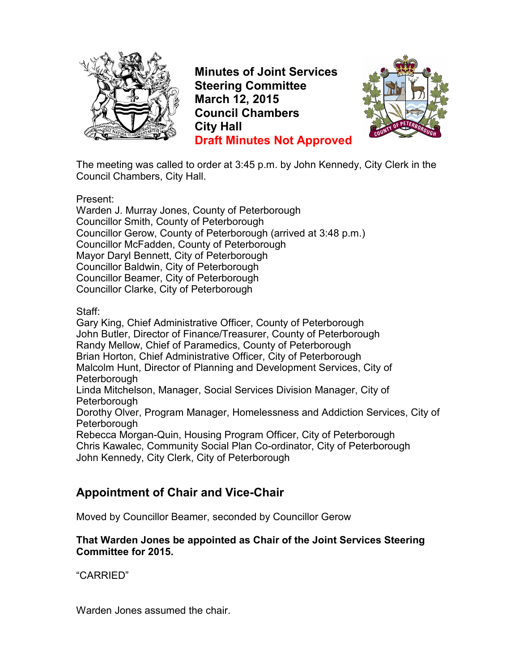

**Minutes of Joint Services Steering Committee March 12, 2015 Council Chambers City Hall Draft Minutes Not Approved**



The meeting was called to order at 3:45 p.m. by John Kennedy, City Clerk in the Council Chambers, City Hall.

Present:

Warden J. Murray Jones, County of Peterborough Councillor Smith, County of Peterborough Councillor Gerow, County of Peterborough (arrived at 3:48 p.m.) Councillor McFadden, County of Peterborough Mayor Daryl Bennett, City of Peterborough Councillor Baldwin, City of Peterborough Councillor Beamer, City of Peterborough Councillor Clarke, City of Peterborough

Staff:

Gary King, Chief Administrative Officer, County of Peterborough John Butler, Director of Finance/Treasurer, County of Peterborough Randy Mellow, Chief of Paramedics, County of Peterborough Brian Horton, Chief Administrative Officer, City of Peterborough Malcolm Hunt, Director of Planning and Development Services, City of **Peterborough** Linda Mitchelson, Manager, Social Services Division Manager, City of **Peterborough** Dorothy Olver, Program Manager, Homelessness and Addiction Services, City of Peterborough Rebecca Morgan-Quin, Housing Program Officer, City of Peterborough Chris Kawalec, Community Social Plan Co-ordinator, City of Peterborough John Kennedy, City Clerk, City of Peterborough

# **Appointment of Chair and Vice-Chair**

Moved by Councillor Beamer, seconded by Councillor Gerow

#### **That Warden Jones be appointed as Chair of the Joint Services Steering Committee for 2015.**

"CARRIED"

Warden Jones assumed the chair.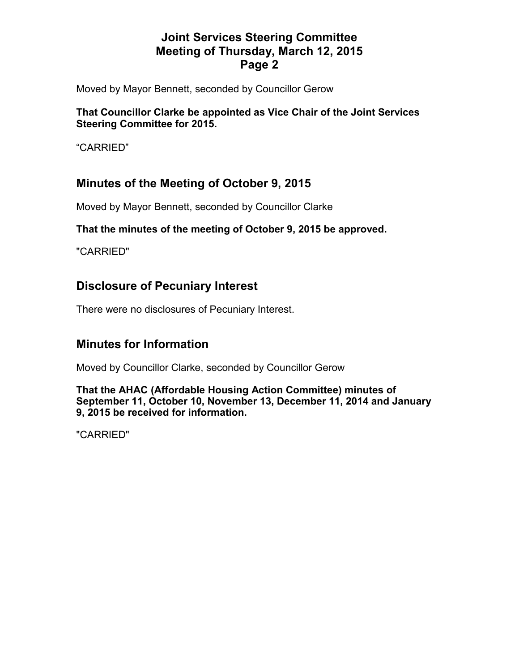Moved by Mayor Bennett, seconded by Councillor Gerow

#### **That Councillor Clarke be appointed as Vice Chair of the Joint Services Steering Committee for 2015.**

"CARRIED"

## **Minutes of the Meeting of October 9, 2015**

Moved by Mayor Bennett, seconded by Councillor Clarke

#### **That the minutes of the meeting of October 9, 2015 be approved.**

"CARRIED"

### **Disclosure of Pecuniary Interest**

There were no disclosures of Pecuniary Interest.

## **Minutes for Information**

Moved by Councillor Clarke, seconded by Councillor Gerow

**That the AHAC (Affordable Housing Action Committee) minutes of September 11, October 10, November 13, December 11, 2014 and January 9, 2015 be received for information.** 

"CARRIED"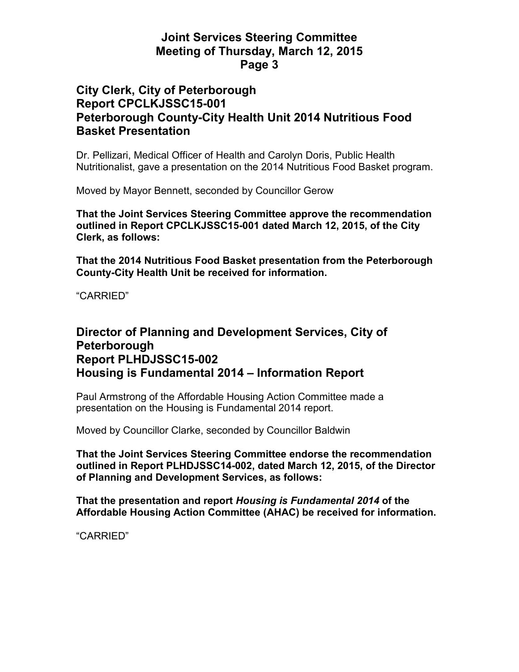## **City Clerk, City of Peterborough Report CPCLKJSSC15-001 Peterborough County-City Health Unit 2014 Nutritious Food Basket Presentation**

Dr. Pellizari, Medical Officer of Health and Carolyn Doris, Public Health Nutritionalist, gave a presentation on the 2014 Nutritious Food Basket program.

Moved by Mayor Bennett, seconded by Councillor Gerow

**That the Joint Services Steering Committee approve the recommendation outlined in Report CPCLKJSSC15-001 dated March 12, 2015, of the City Clerk, as follows:** 

**That the 2014 Nutritious Food Basket presentation from the Peterborough County-City Health Unit be received for information.** 

"CARRIED"

#### **Director of Planning and Development Services, City of Peterborough Report PLHDJSSC15-002 Housing is Fundamental 2014 – Information Report**

Paul Armstrong of the Affordable Housing Action Committee made a presentation on the Housing is Fundamental 2014 report.

Moved by Councillor Clarke, seconded by Councillor Baldwin

**That the Joint Services Steering Committee endorse the recommendation outlined in Report PLHDJSSC14-002, dated March 12, 2015, of the Director of Planning and Development Services, as follows:** 

**That the presentation and report** *Housing is Fundamental 2014* **of the Affordable Housing Action Committee (AHAC) be received for information.** 

"CARRIED"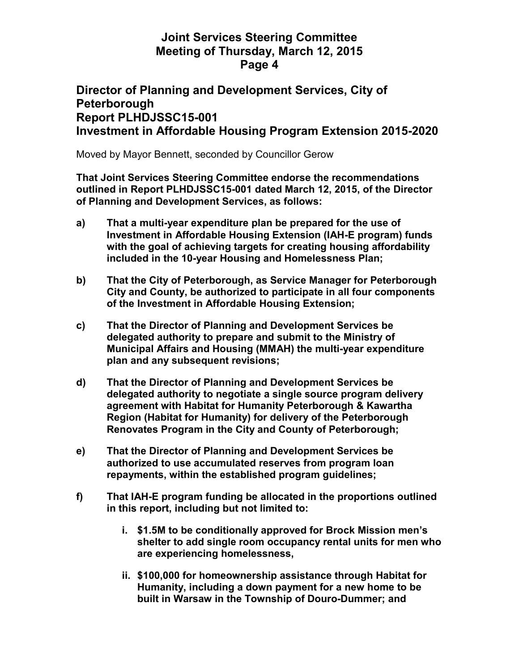#### **Director of Planning and Development Services, City of Peterborough Report PLHDJSSC15-001 Investment in Affordable Housing Program Extension 2015-2020**

Moved by Mayor Bennett, seconded by Councillor Gerow

**That Joint Services Steering Committee endorse the recommendations outlined in Report PLHDJSSC15-001 dated March 12, 2015, of the Director of Planning and Development Services, as follows:** 

- **a) That a multi-year expenditure plan be prepared for the use of Investment in Affordable Housing Extension (IAH-E program) funds with the goal of achieving targets for creating housing affordability included in the 10-year Housing and Homelessness Plan;**
- **b) That the City of Peterborough, as Service Manager for Peterborough City and County, be authorized to participate in all four components of the Investment in Affordable Housing Extension;**
- **c) That the Director of Planning and Development Services be delegated authority to prepare and submit to the Ministry of Municipal Affairs and Housing (MMAH) the multi-year expenditure plan and any subsequent revisions;**
- **d) That the Director of Planning and Development Services be delegated authority to negotiate a single source program delivery agreement with Habitat for Humanity Peterborough & Kawartha Region (Habitat for Humanity) for delivery of the Peterborough Renovates Program in the City and County of Peterborough;**
- **e) That the Director of Planning and Development Services be authorized to use accumulated reserves from program loan repayments, within the established program guidelines;**
- **f) That IAH-E program funding be allocated in the proportions outlined in this report, including but not limited to:** 
	- **i. \$1.5M to be conditionally approved for Brock Mission men's shelter to add single room occupancy rental units for men who are experiencing homelessness,**
	- **ii. \$100,000 for homeownership assistance through Habitat for Humanity, including a down payment for a new home to be built in Warsaw in the Township of Douro-Dummer; and**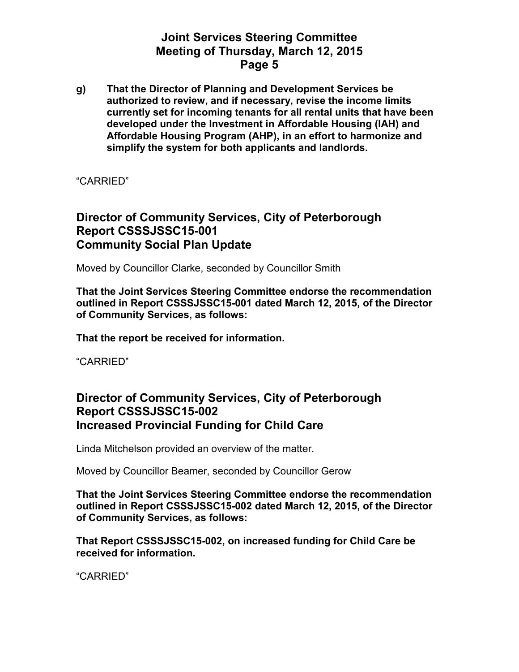**g) That the Director of Planning and Development Services be authorized to review, and if necessary, revise the income limits currently set for incoming tenants for all rental units that have been developed under the Investment in Affordable Housing (IAH) and Affordable Housing Program (AHP), in an effort to harmonize and simplify the system for both applicants and landlords.** 

"CARRIED"

## **Director of Community Services, City of Peterborough Report CSSSJSSC15-001 Community Social Plan Update**

Moved by Councillor Clarke, seconded by Councillor Smith

**That the Joint Services Steering Committee endorse the recommendation outlined in Report CSSSJSSC15-001 dated March 12, 2015, of the Director of Community Services, as follows:** 

**That the report be received for information.** 

"CARRIED"

## **Director of Community Services, City of Peterborough Report CSSSJSSC15-002 Increased Provincial Funding for Child Care**

Linda Mitchelson provided an overview of the matter.

Moved by Councillor Beamer, seconded by Councillor Gerow

**That the Joint Services Steering Committee endorse the recommendation outlined in Report CSSSJSSC15-002 dated March 12, 2015, of the Director of Community Services, as follows:** 

**That Report CSSSJSSC15-002, on increased funding for Child Care be received for information.** 

"CARRIED"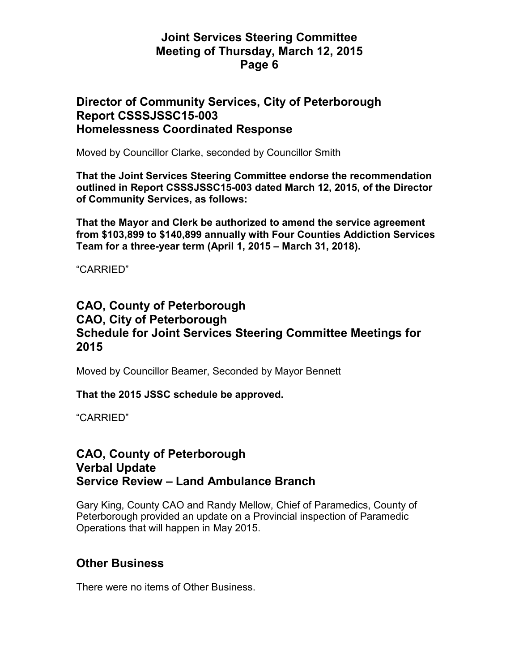#### **Director of Community Services, City of Peterborough Report CSSSJSSC15-003 Homelessness Coordinated Response**

Moved by Councillor Clarke, seconded by Councillor Smith

**That the Joint Services Steering Committee endorse the recommendation outlined in Report CSSSJSSC15-003 dated March 12, 2015, of the Director of Community Services, as follows:** 

**That the Mayor and Clerk be authorized to amend the service agreement from \$103,899 to \$140,899 annually with Four Counties Addiction Services Team for a three-year term (April 1, 2015 – March 31, 2018).** 

"CARRIED"

## **CAO, County of Peterborough CAO, City of Peterborough Schedule for Joint Services Steering Committee Meetings for 2015**

Moved by Councillor Beamer, Seconded by Mayor Bennett

**That the 2015 JSSC schedule be approved.** 

"CARRIED"

#### **CAO, County of Peterborough Verbal Update Service Review – Land Ambulance Branch**

Gary King, County CAO and Randy Mellow, Chief of Paramedics, County of Peterborough provided an update on a Provincial inspection of Paramedic Operations that will happen in May 2015.

#### **Other Business**

There were no items of Other Business.